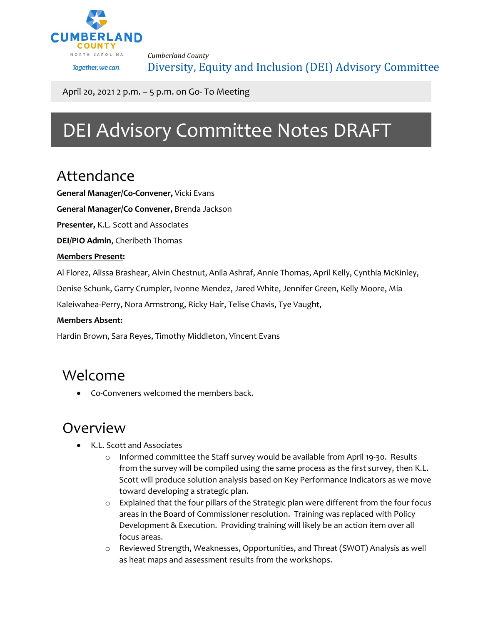

*Cumberland County* Diversity, Equity and Inclusion (DEI) Advisory Committee

April 20, 2021 2 p.m. – 5 p.m. on Go- To Meeting

# DEI Advisory Committee Notes DRAFT

## Attendance

**General Manager/Co-Convener,** Vicki Evans

**General Manager/Co Convener,** Brenda Jackson

**Presenter,** K.L. Scott and Associates

**DEI/PIO Admin**, Cheribeth Thomas

#### **Members Present:**

Al Florez, Alissa Brashear, Alvin Chestnut, Anila Ashraf, Annie Thomas, April Kelly, Cynthia McKinley,

Denise Schunk, Garry Crumpler, Ivonne Mendez, Jared White, Jennifer Green, Kelly Moore, Mia

Kaleiwahea-Perry, Nora Armstrong, Ricky Hair, Telise Chavis, Tye Vaught,

#### **Members Absent:**

Hardin Brown, Sara Reyes, Timothy Middleton, Vincent Evans

### Welcome

• Co-Conveners welcomed the members back.

### Overview

- K.L. Scott and Associates
	- o Informed committee the Staff survey would be available from April 19-30. Results from the survey will be compiled using the same process as the first survey, then K.L. Scott will produce solution analysis based on Key Performance Indicators as we move toward developing a strategic plan.
	- o Explained that the four pillars of the Strategic plan were different from the four focus areas in the Board of Commissioner resolution. Training was replaced with Policy Development & Execution. Providing training will likely be an action item over all focus areas.
	- o Reviewed Strength, Weaknesses, Opportunities, and Threat (SWOT) Analysis as well as heat maps and assessment results from the workshops.